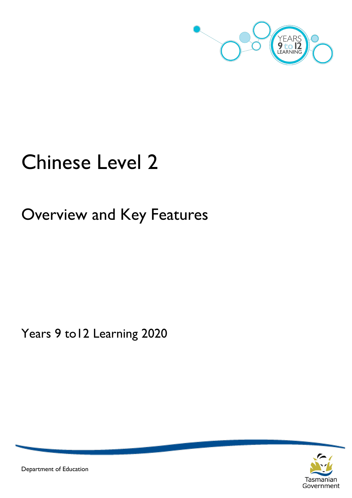

# Chinese Level 2

Overview and Key Features

Years 9 to12 Learning 2020



Department of Education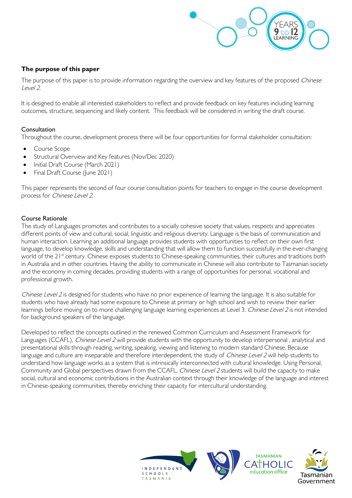

# **The purpose of this paper**

The purpose of this paper is to provide information regarding the overview and key features of the proposed Chinese Level 2.

It is designed to enable all interested stakeholders to reflect and provide feedback on key features including learning outcomes, structure, sequencing and likely content. This feedback will be considered in writing the draft course.

## Consultation

Throughout the course, development process there will be four opportunities for formal stakeholder consultation:

- Course Scope
- Structural Overview and Key features (Nov/Dec 2020)
- Initial Draft Course (March 2021)
- Final Draft Course (June 2021)

This paper represents the second of four course consultation points for teachers to engage in the course development process for Chinese Level 2.

#### Course Rationale

The study of Languages promotes and contributes to a socially cohesive society that values, respects and appreciates different points of view and cultural, social, linguistic and religious diversity. Language is the basis of communication and human interaction. Learning an additional language provides students with opportunities to reflect on their own first language, to develop knowledge, skills and understanding that will allow them to function successfully in the ever-changing world of the 21<sup>st</sup> century. Chinese exposes students to Chinese-speaking communities, their cultures and traditions both in Australia and in other countries. Having the ability to communicate in Chinese will also contribute to Tasmanian society and the economy in coming decades, providing students with a range of opportunities for personal, vocational and professional growth.

Chinese Level 2 is designed for students who have no prior experience of learning the language. It is also suitable for students who have already had some exposure to Chinese at primary or high school and wish to review their earlier learnings before moving on to more challenging language learning experiences at Level 3. Chinese Level 2 is not intended for background speakers of the language.

Developed to reflect the concepts outlined in the renewed Common Curriculum and Assessment Framework for Languages (CCAFL), Chinese Level 2 will provide students with the opportunity to develop interpersonal, analytical and presentational skills through reading, writing, speaking, viewing and listening to modern standard Chinese. Because language and culture are inseparable and therefore interdependent, the study of Chinese Level 2 will help students to understand how language works as a system that is intrinsically interconnected with cultural knowledge. Using Personal, Community and Global perspectives drawn from the CCAFL, Chinese Level 2 students will build the capacity to make social, cultural and economic contributions in the Australian context through their knowledge of the language and interest in Chinese-speaking communities, thereby enriching their capacity for intercultural understanding.

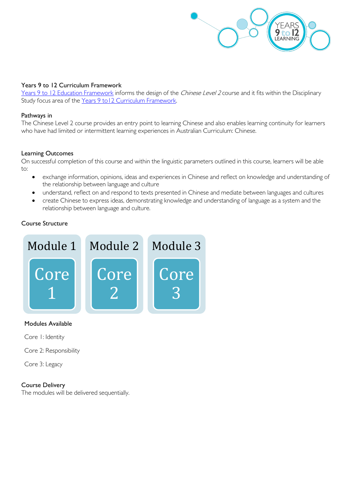

#### Years 9 to 12 Curriculum Framework

[Years 9 to 12 Education Framework](https://publicdocumentcentre.education.tas.gov.au/library/Shared%20Documents/Years-9-to-12-Education-Framework.pdf) informs the design of the Chinese Level 2 course and it fits within the Disciplinary Study focus area of the Years 9 to 12 Curriculum Framework.

#### Pathways in

The Chinese Level 2 course provides an entry point to learning Chinese and also enables learning continuity for learners who have had limited or intermittent learning experiences in Australian Curriculum: Chinese.

#### Learning Outcomes

On successful completion of this course and within the linguistic parameters outlined in this course, learners will be able to:

- exchange information, opinions, ideas and experiences in Chinese and reflect on knowledge and understanding of the relationship between language and culture
- understand, reflect on and respond to texts presented in Chinese and mediate between languages and cultures
- create Chinese to express ideas, demonstrating knowledge and understanding of language as a system and the relationship between language and culture.

## Course Structure



Modules Available

Core 1: Identity

Core 2: Responsibility

Core 3: Legacy

#### Course Delivery

The modules will be delivered sequentially.